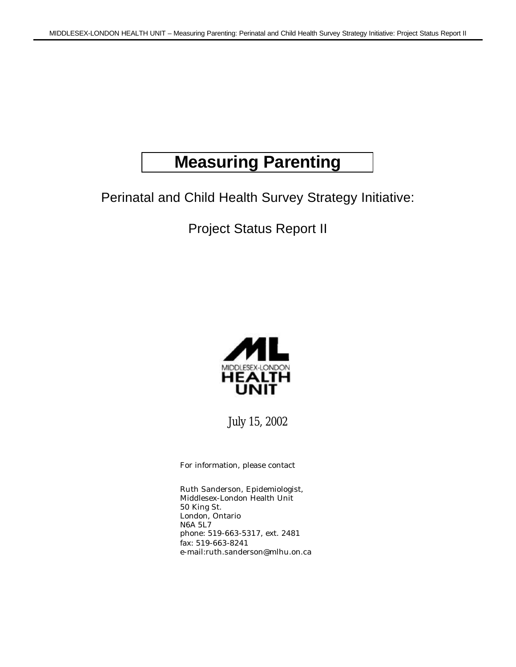# **Measuring Parenting**

Perinatal and Child Health Survey Strategy Initiative:

Project Status Report II



July 15, 2002

For information, please contact

Ruth Sanderson, Epidemiologist, Middlesex-London Health Unit 50 King St. London, Ontario N6A 5L7 phone: 519-663-5317, ext. 2481 fax: 519-663-8241 e-mail:ruth.sanderson@mlhu.on.ca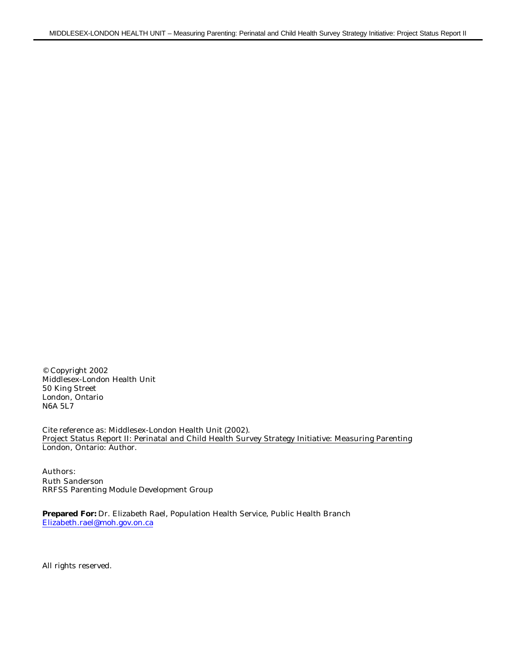© Copyright 2002 Middlesex-London Health Unit 50 King Street London, Ontario N6A 5L7

Cite reference as: Middlesex-London Health Unit (2002). Project Status Report II: Perinatal and Child Health Survey Strategy Initiative: Measuring Parenting London, Ontario: Author.

Authors: Ruth Sanderson RRFSS Parenting Module Development Group

**Prepared For:** Dr. Elizabeth Rael, Population Health Service, Public Health Branch Elizabeth.rael@moh.gov.on.ca

All rights reserved.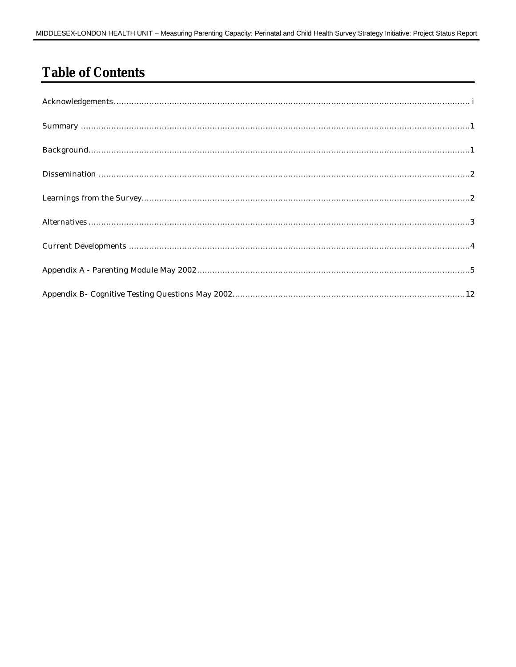# **Table of Contents**

| $\textbf{Learnings from the Survey}.\textcolor{blue}{\textbf{Learnings from the Survey}}.\textcolor{blue}{\textbf{Learnings from the Survey}}.\textcolor{blue}{\textbf{Learnings from the Survey}}.\textcolor{blue}{\textbf{Learnings from the Survey}}.\textcolor{blue}{\textbf{Learnings from the Survey}}.\textcolor{blue}{\textbf{Learnings from the Survey}}.\textcolor{blue}{\textbf{Learnings from the Survey}}.\textcolor{blue}{\textbf{Learnings from the Survey}}.\textcolor{blue}{\textbf{Learnings from the Survey}}.\textcolor{blue}{\textbf{Learnings from the Survey}}.\textcolor{blue}{\textbf{Learnings from the Survey}}.\textcolor{blue}{\textbf{Learnings from the Survey}}.\textcolor{blue}{$ |
|--------------------------------------------------------------------------------------------------------------------------------------------------------------------------------------------------------------------------------------------------------------------------------------------------------------------------------------------------------------------------------------------------------------------------------------------------------------------------------------------------------------------------------------------------------------------------------------------------------------------------------------------------------------------------------------------------------------------|
|                                                                                                                                                                                                                                                                                                                                                                                                                                                                                                                                                                                                                                                                                                                    |
|                                                                                                                                                                                                                                                                                                                                                                                                                                                                                                                                                                                                                                                                                                                    |
|                                                                                                                                                                                                                                                                                                                                                                                                                                                                                                                                                                                                                                                                                                                    |
|                                                                                                                                                                                                                                                                                                                                                                                                                                                                                                                                                                                                                                                                                                                    |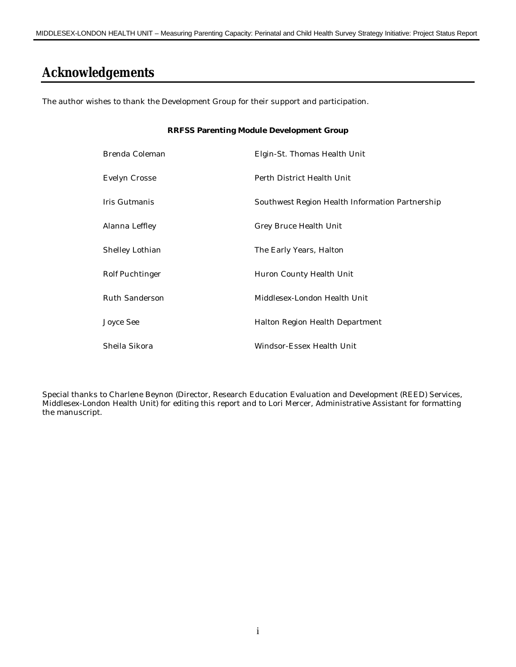#### **Acknowledgements**

The author wishes to thank the Development Group for their support and participation.

# **RRFSS Parenting Module Development Group** Brenda Coleman **Elgin-St. Thomas Health Unit** Evelyn Crosse Perth District Health Unit Iris Gutmanis Southwest Region Health Information Partnership Alanna Leffley Grey Bruce Health Unit Shelley Lothian The Early Years, Halton Rolf Puchtinger **Huron County Health Unit** Ruth Sanderson Middlesex-London Health Unit Joyce See Halton Region Health Department Sheila Sikora Windsor-Essex Health Unit

Special thanks to Charlene Beynon (Director, Research Education Evaluation and Development (REED) Services, Middlesex-London Health Unit) for editing this report and to Lori Mercer, Administrative Assistant for formatting the manuscript.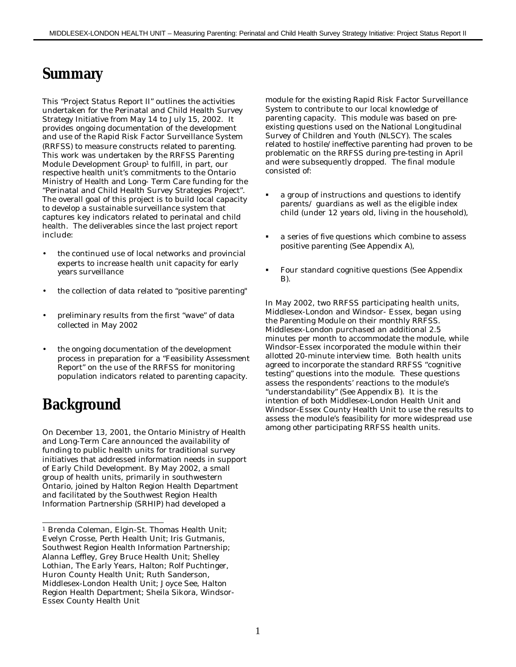#### **Summary**

This "Project Status Report II" outlines the activities undertaken for the Perinatal and Child Health Survey Strategy Initiative from May 14 to July 15, 2002. It provides ongoing documentation of the development and use of the Rapid Risk Factor Surveillance System (RRFSS) to measure constructs related to parenting. This work was undertaken by the RRFSS Parenting Module Development Group<sup>1</sup> to fulfill, in part, our respective health unit's commitments to the Ontario Ministry of Health and Long- Term Care funding for the "Perinatal and Child Health Survey Strategies Project". The overall goal of this project is to build local capacity to develop a sustainable surveillance system that captures key indicators related to perinatal and child health. The deliverables since the last project report include:

- the continued use of local networks and provincial experts to increase health unit capacity for early years surveillance
- the collection of data related to "positive parenting"
- preliminary results from the first "wave" of data collected in May 2002
- the ongoing documentation of the development process in preparation for a "Feasibility Assessment Report" on the use of the RRFSS for monitoring population indicators related to parenting capacity.

# **Background**

On December 13, 2001, the Ontario Ministry of Health and Long-Term Care announced the availability of funding to public health units for traditional survey initiatives that addressed information needs in support of Early Child Development. By May 2002, a small group of health units, primarily in southwestern Ontario, joined by Halton Region Health Department and facilitated by the Southwest Region Health Information Partnership (SRHIP) had developed a

module for the existing Rapid Risk Factor Surveillance System to contribute to our local knowledge of parenting capacity. This module was based on preexisting questions used on the National Longitudinal Survey of Children and Youth (NLSCY). The scales related to hostile/ineffective parenting had proven to be problematic on the RRFSS during pre-testing in April and were subsequently dropped. The final module consisted of:

- ß a group of instructions and questions to identify parents/ guardians as well as the eligible index child (under 12 years old, living in the household),
- ß a series of five questions which combine to assess positive parenting (See Appendix A),
- ß Four standard cognitive questions (See Appendix B).

In May 2002, two RRFSS participating health units, Middlesex-London and Windsor- Essex, began using the Parenting Module on their monthly RRFSS. Middlesex-London purchased an additional 2.5 minutes per month to accommodate the module, while Windsor-Essex incorporated the module within their allotted 20-minute interview time. Both health units agreed to incorporate the standard RRFSS "cognitive testing" questions into the module. These questions assess the respondents' reactions to the module's "understandability" (See Appendix B). It is the intention of both Middlesex-London Health Unit and Windsor-Essex County Health Unit to use the results to assess the module's feasibility for more widespread use among other participating RRFSS health units.

l <sup>1</sup> Brenda Coleman, Elgin-St. Thomas Health Unit; Evelyn Crosse, Perth Health Unit; Iris Gutmanis, Southwest Region Health Information Partnership; Alanna Leffley, Grey Bruce Health Unit; Shelley Lothian, The Early Years, Halton; Rolf Puchtinger, Huron County Health Unit; Ruth Sanderson, Middlesex-London Health Unit; Joyce See, Halton Region Health Department; Sheila Sikora, Windsor-Essex County Health Unit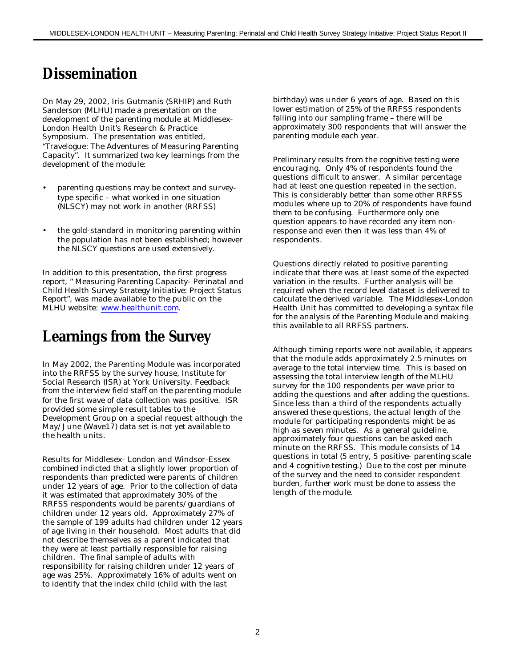#### **Dissemination**

On May 29, 2002, Iris Gutmanis (SRHIP) and Ruth Sanderson (MLHU) made a presentation on the development of the parenting module at Middlesex-London Health Unit's Research & Practice Symposium. The presentation was entitled, "Travelogue: The Adventures of Measuring Parenting Capacity". It summarized two key learnings from the development of the module:

- parenting questions may be context and surveytype specific – what worked in one situation (NLSCY) may not work in another (RRFSS)
- the gold-standard in monitoring parenting within the population has not been established; however the NLSCY questions are used extensively.

In addition to this presentation, the first progress report, " Measuring Parenting Capacity- Perinatal and Child Health Survey Strategy Initiative: Project Status Report", was made available to the public on the MLHU website: www.healthunit.com.

## **Learnings from the Survey**

In May 2002, the Parenting Module was incorporated into the RRFSS by the survey house, Institute for Social Research (ISR) at York University. Feedback from the interview field staff on the parenting module for the first wave of data collection was positive. ISR provided some simple result tables to the Development Group on a special request although the May/June (Wave17) data set is not yet available to the health units.

Results for Middlesex- London and Windsor-Essex combined indicted that a slightly lower proportion of respondents than predicted were parents of children under 12 years of age. Prior to the collection of data it was estimated that approximately 30% of the RRFSS respondents would be parents/guardians of children under 12 years old. Approximately 27% of the sample of 199 adults had children under 12 years of age living in their household. Most adults that did not describe themselves as a parent indicated that they were at least partially responsible for raising children. The final sample of adults with responsibility for raising children under 12 years of age was 25%. Approximately 16% of adults went on to identify that the index child (child with the last

birthday) was under 6 years of age. Based on this lower estimation of 25% of the RRFSS respondents falling into our sampling frame – there will be approximately 300 respondents that will answer the parenting module each year.

Preliminary results from the cognitive testing were encouraging. Only 4% of respondents found the questions difficult to answer. A similar percentage had at least one question repeated in the section. This is considerably better than some other RRFSS modules where up to 20% of respondents have found them to be confusing. Furthermore only one question appears to have recorded any item nonresponse and even then it was less than 4% of respondents.

Questions directly related to positive parenting indicate that there was at least some of the expected variation in the results. Further analysis will be required when the record level dataset is delivered to calculate the derived variable. The Middlesex-London Health Unit has committed to developing a syntax file for the analysis of the Parenting Module and making this available to all RRFSS partners.

Although timing reports were not available, it appears that the module adds approximately 2.5 minutes on average to the total interview time. This is based on assessing the total interview length of the MLHU survey for the 100 respondents per wave prior to adding the questions and after adding the questions. Since less than a third of the respondents actually answered these questions, the actual length of the module for participating respondents might be as high as seven minutes. As a general guideline, approximately four questions can be asked each minute on the RRFSS. This module consists of 14 questions in total (5 entry, 5 positive- parenting scale and 4 cognitive testing.) Due to the cost per minute of the survey and the need to consider respondent burden, further work must be done to assess the length of the module.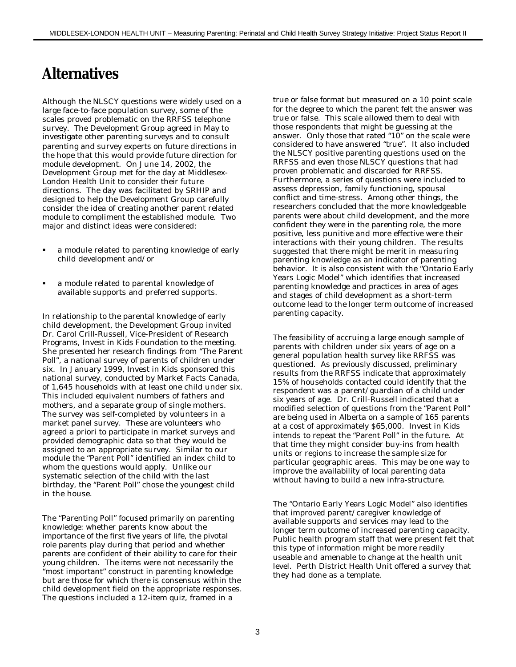## **Alternatives**

Although the NLSCY questions were widely used on a large face-to-face population survey, some of the scales proved problematic on the RRFSS telephone survey. The Development Group agreed in May to investigate other parenting surveys and to consult parenting and survey experts on future directions in the hope that this would provide future direction for module development. On June 14, 2002, the Development Group met for the day at Middlesex-London Health Unit to consider their future directions. The day was facilitated by SRHIP and designed to help the Development Group carefully consider the idea of creating another parent related module to compliment the established module. Two major and distinct ideas were considered:

- ß a module related to parenting knowledge of early child development and/or
- ß a module related to parental knowledge of available supports and preferred supports.

In relationship to the parental knowledge of early child development, the Development Group invited Dr. Carol Crill-Russell, Vice-President of Research Programs, Invest in Kids Foundation to the meeting. She presented her research findings from "The Parent Poll", a national survey of parents of children under six. In January 1999, Invest in Kids sponsored this national survey, conducted by Market Facts Canada, of 1,645 households with at least one child under six. This included equivalent numbers of fathers and mothers, and a separate group of single mothers. The survey was self-completed by volunteers in a market panel survey. These are volunteers who agreed a priori to participate in market surveys and provided demographic data so that they would be assigned to an appropriate survey. Similar to our module the "Parent Poll" identified an index child to whom the questions would apply. Unlike our systematic selection of the child with the last birthday, the "Parent Poll" chose the youngest child in the house.

The "Parenting Poll" focused primarily on parenting knowledge: whether parents know about the importance of the first five years of life, the pivotal role parents play during that period and whether parents are confident of their ability to care for their young children. The items were not necessarily the "most important" construct in parenting knowledge but are those for which there is consensus within the child development field on the appropriate responses. The questions included a 12-item quiz, framed in a

true or false format but measured on a 10 point scale for the degree to which the parent felt the answer was true or false. This scale allowed them to deal with those respondents that might be guessing at the answer. Only those that rated "10" on the scale were considered to have answered "true". It also included the NLSCY positive parenting questions used on the RRFSS and even those NLSCY questions that had proven problematic and discarded for RRFSS. Furthermore, a series of questions were included to assess depression, family functioning, spousal conflict and time-stress. Among other things, the researchers concluded that the more knowledgeable parents were about child development, and the more confident they were in the parenting role, the more positive, less punitive and more effective were their interactions with their young children. The results suggested that there might be merit in measuring parenting knowledge as an indicator of parenting behavior. It is also consistent with the "Ontario Early Years Logic Model" which identifies that increased parenting knowledge and practices in area of ages and stages of child development as a short-term outcome lead to the longer term outcome of increased parenting capacity.

The feasibility of accruing a large enough sample of parents with children under six years of age on a general population health survey like RRFSS was questioned. As previously discussed, preliminary results from the RRFSS indicate that approximately 15% of households contacted could identify that the respondent was a parent/guardian of a child under six years of age. Dr. Crill-Russell indicated that a modified selection of questions from the "Parent Poll" are being used in Alberta on a sample of 165 parents at a cost of approximately \$65,000. Invest in Kids intends to repeat the "Parent Poll" in the future. At that time they might consider buy-ins from health units or regions to increase the sample size for particular geographic areas. This may be one way to improve the availability of local parenting data without having to build a new infra-structure.

The "Ontario Early Years Logic Model" also identifies that improved parent/caregiver knowledge of available supports and services may lead to the longer term outcome of increased parenting capacity. Public health program staff that were present felt that this type of information might be more readily useable and amenable to change at the health unit level. Perth District Health Unit offered a survey that they had done as a template.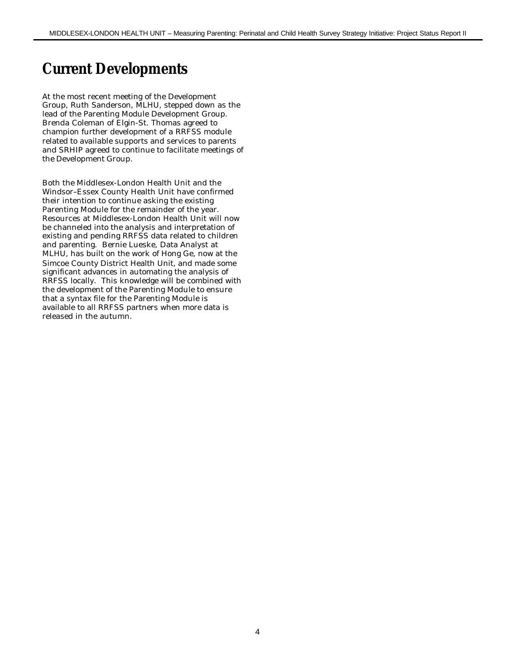## **Current Developments**

At the most recent meeting of the Development Group, Ruth Sanderson, MLHU, stepped down as the lead of the Parenting Module Development Group. Brenda Coleman of Elgin-St. Thomas agreed to champion further development of a RRFSS module related to available supports and services to parents and SRHIP agreed to continue to facilitate meetings of the Development Group.

Both the Middlesex-London Health Unit and the Windsor–Essex County Health Unit have confirmed their intention to continue asking the existing Parenting Module for the remainder of the year. Resources at Middlesex-London Health Unit will now be channeled into the analysis and interpretation of existing and pending RRFSS data related to children and parenting. Bernie Lueske, Data Analyst at MLHU, has built on the work of Hong Ge, now at the Simcoe County District Health Unit, and made some significant advances in automating the analysis of RRFSS locally. This knowledge will be combined with the development of the Parenting Module to ensure that a syntax file for the Parenting Module is available to all RRFSS partners when more data is released in the autumn.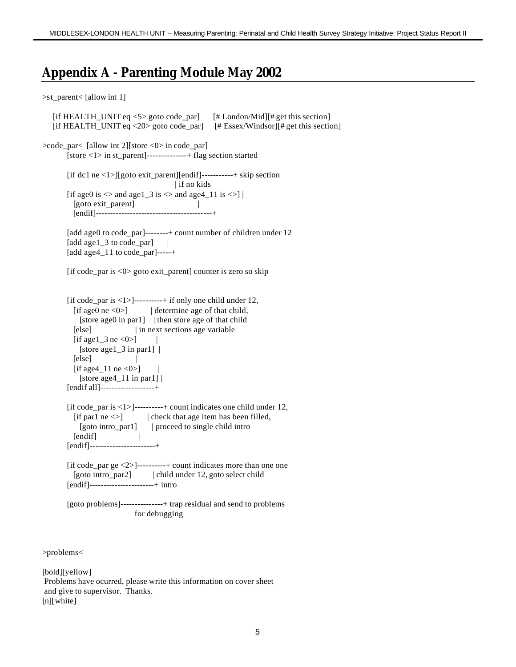#### **Appendix A - Parenting Module May 2002**

```
>st_parent< [allow int 1]
```

```
[if HEALTH_UNIT eq \leq 5 goto code_par] [# London/Mid][# get this section]
   [if HEALTH_UNIT eq <20> goto code_par] [# Essex/Windsor][# get this section]
>code_par< [allow int 2][store <0> in code_par]
       [store <1> in st_parent]--------------+ flag section started
        [if dc1 ne <1>][goto exit_parent][endif]-----------+ skip section
                                        | if no kids
       [if age0 is \langle and age1_3 is \langle and age4_11 is \langle >] |
          [goto exit_parent] |
          [endif]-----------------------------------------+
       [add age0 to code par]--------+ count number of children under 12
       [add age1 \overline{3} to code par] |
        [add age4_11 to code_par]-----+
        [if code_par is <0> goto exit_parent] counter is zero so skip
        [if code_par is <1>]----------+ if only one child under 12,
         [if age0 ne <0>] | determine age of that child,
           [store age0 in par1] | then store age of that child
          [else] | in next sections age variable
         [if age1 3 ne \langle 0 \rangle]
           [store age1_3 in par1] |[e] |
         [if age4 11 ne \langle 0 \rangle]
           [store age 4_11 in par1] | [endif all]-------------------+
        [if code_par is <1>]----------+ count indicates one child under 12,
         [if par1 ne <>] | check that age item has been filled,
            [goto intro_par1] | proceed to single child intro
         [endif] |
        [endif]-----------------------+
        [if code_par ge <2>]----------+ count indicates more than one one
          [goto intro_par2] | child under 12, goto select child
        [endif]-----------------------+ intro
        [goto problems]---------------+ trap residual and send to problems
                            for debugging
```
>problems<

[bold][yellow] Problems have ocurred, please write this information on cover sheet and give to supervisor. Thanks. [n][white]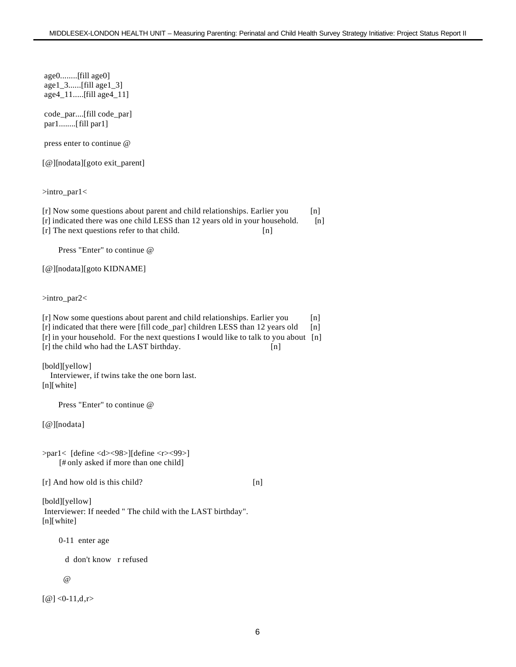age0........[fill age0] age1\_3......[fill age1\_3] age4\_11.....[fill age4\_11]

code\_par....[fill code\_par] par1........[fill par1]

press enter to continue @

[@][nodata][goto exit\_parent]

>intro\_par1<

[r] Now some questions about parent and child relationships. Earlier you [n] [r] indicated there was one child LESS than 12 years old in your household. [n] [r] The next questions refer to that child. [n]

Press "Enter" to continue @

[@][nodata][goto KIDNAME]

>intro\_par2<

[r] Now some questions about parent and child relationships. Earlier you [n] [r] indicated that there were [fill code\_par] children LESS than 12 years old [n] [r] in your household. For the next questions I would like to talk to you about [n] [r] the child who had the LAST birthday. [n]

[bold][yellow] Interviewer, if twins take the one born last. [n][white]

Press "Enter" to continue @

[@][nodata]

>par1< [define <d><98>][define <r><99>] [# only asked if more than one child]

[r] And how old is this child? [n]

[bold][yellow] Interviewer: If needed " The child with the LAST birthday". [n][white]

0-11 enter age

d don't know r refused

 $\omega$ 

 $[@] < 0-11, d,r$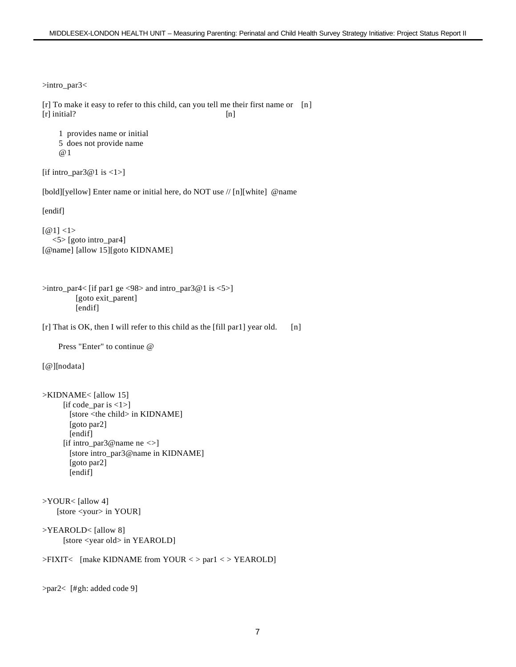```
>intro_par3<
[r] To make it easy to refer to this child, can you tell me their first name or [n]
[r] initial? [n] 1 provides name or initial
     5 does not provide name
     @1
[if intro_par3@1 is \langle 1 \rangle]
[bold][yellow] Enter name or initial here, do NOT use // [n][white] @name
[endif]
[@1] <1> <5> [goto intro_par4]
[@name] [allow 15][goto KIDNAME]
\frac{1}{2} intro_par4< [if par1 ge <98> and intro_par3@1 is <5>]
          [goto exit_parent]
         [endif]
[r] That is OK, then I will refer to this child as the [fill par1] year old. [n]
     Press "Enter" to continue @
[@][nodata]
>KIDNAME< [allow 15]
      [if code par is \langle 1 \rangle]
        [store <the child> in KIDNAME]
        [goto par2]
       [endif]
       [if intro_par3@name ne <>]
        [store intro_par3@name in KIDNAME]
        [goto par2]
        [endif]
>YOUR< [allow 4]
     [store <your> in YOUR]
>YEAROLD< [allow 8]
       [store <year old> in YEAROLD]
>FIXIT< [make KIDNAME from YOUR < > par1 < > YEAROLD]
>par2< [#gh: added code 9]
```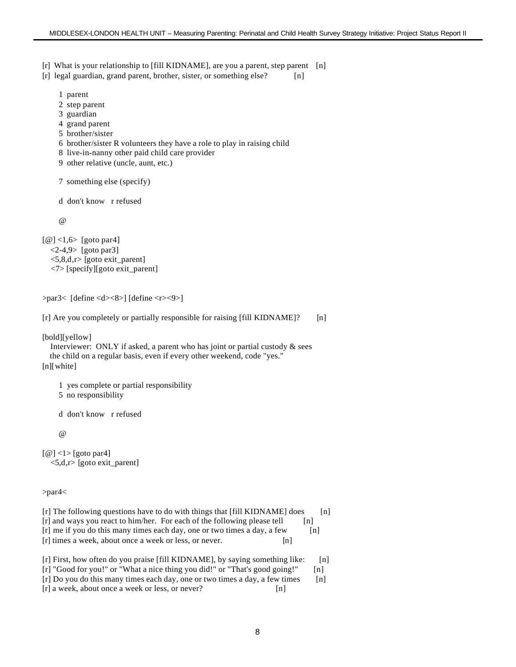[r] What is your relationship to [fill KIDNAME], are you a parent, step parent [n]

[r] legal guardian, grand parent, brother, sister, or something else? [n]

- 1 parent
- 2 step parent
- 3 guardian
- 4 grand parent
- 5 brother/sister
- 6 brother/sister R volunteers they have a role to play in raising child
- 8 live-in-nanny other paid child care provider
- 9 other relative (uncle, aunt, etc.)

7 something else (specify)

d don't know r refused

 $\omega$ 

```
[@] <1,6> [goto par4]
  \langle 2-4, 9 \rangle [goto par3]
   <5,8,d,r> [goto exit_parent]
   <7> [specify][goto exit_parent]
```

```
>par3< [define <d><8>] [define <r><9>]
```

```
[r] Are you completely or partially responsible for raising [fill KIDNAME]? [n]
```
[bold][yellow]

```
 Interviewer: ONLY if asked, a parent who has joint or partial custody & sees
   the child on a regular basis, even if every other weekend, code "yes."
[n][white]
```
1 yes complete or partial responsibility

5 no responsibility

d don't know r refused

@

```
\lceil \omega \rceil <1> \lceil \omega \rceil goto par4
     <5,d,r> [goto exit_parent]
```
>par4<

- $[r]$  The following questions have to do with things that  $[f\text{ill}\ KIDNAME]$  does  $[n]$ [r] and ways you react to him/her. For each of the following please tell [n] [r] me if you do this many times each day, one or two times a day, a few [n] [r] times a week, about once a week or less, or never. [n]
- [r] First, how often do you praise [fill KIDNAME], by saying something like: [n] [r] "Good for you!" or "What a nice thing you did!" or "That's good going!" [n] [r] Do you do this many times each day, one or two times a day, a few times [n] [r] a week, about once a week or less, or never? [n]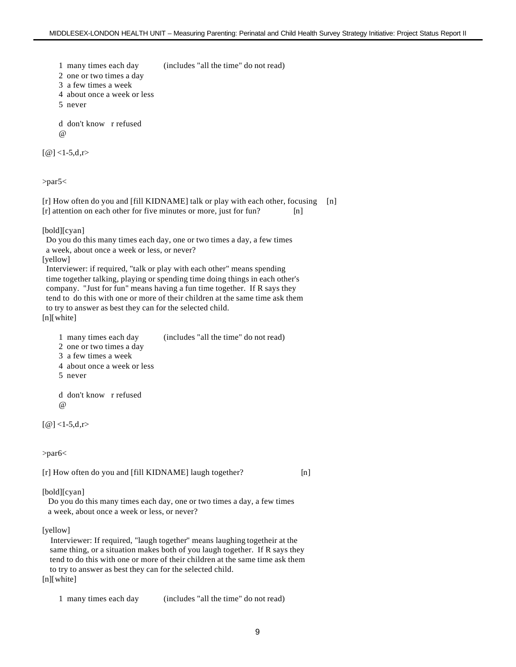1 many times each day (includes "all the time" do not read)

2 one or two times a day

3 a few times a week

4 about once a week or less

5 never

 d don't know r refused @

 $[@] < 1-5, d,r$ 

>par5<

[r] How often do you and [fill KIDNAME] talk or play with each other, focusing [n] [r] attention on each other for five minutes or more, just for fun? [n]

[bold][cyan]

 Do you do this many times each day, one or two times a day, a few times a week, about once a week or less, or never?

[yellow]

 Interviewer: if required, "talk or play with each other" means spending time together talking, playing or spending time doing things in each other's company. "Just for fun" means having a fun time together. If R says they tend to do this with one or more of their children at the same time ask them to try to answer as best they can for the selected child. [n][white]

- 1 many times each day (includes "all the time" do not read)
- 2 one or two times a day

3 a few times a week

4 about once a week or less

5 never

 d don't know r refused @

 $[@] < 1-5, d,r$ 

>par6<

[r] How often do you and [fill KIDNAME] laugh together? [n]

[bold][cyan]

 Do you do this many times each day, one or two times a day, a few times a week, about once a week or less, or never?

[yellow]

 Interviewer: If required, "laugh together" means laughing togetheir at the same thing, or a situation makes both of you laugh together. If R says they tend to do this with one or more of their children at the same time ask them to try to answer as best they can for the selected child.

[n][white]

1 many times each day (includes "all the time" do not read)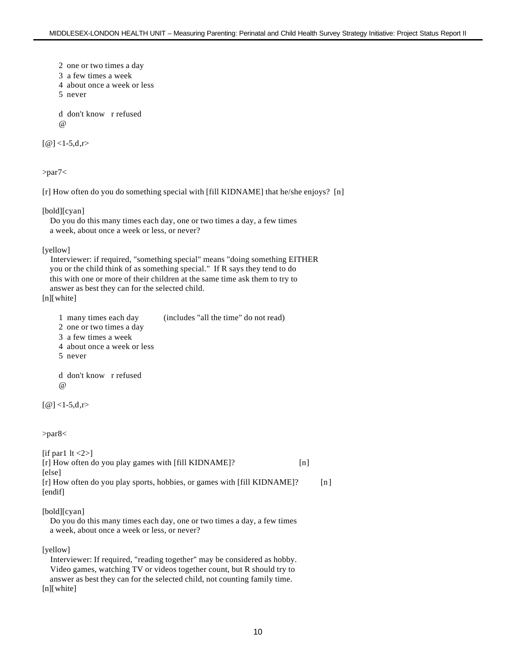2 one or two times a day

3 a few times a week

- 4 about once a week or less
- 5 never

 d don't know r refused @

 $[@] < 1-5, d,r$ 

>par7<

[r] How often do you do something special with [fill KIDNAME] that he/she enjoys? [n]

[bold][cyan]

```
 Do you do this many times each day, one or two times a day, a few times
 a week, about once a week or less, or never?
```
[yellow]

 Interviewer: if required, "something special" means "doing something EITHER you or the child think of as something special." If R says they tend to do this with one or more of their children at the same time ask them to try to answer as best they can for the selected child.

[n][white]

- 1 many times each day (includes "all the time" do not read) 2 one or two times a day
- 3 a few times a week
- 4 about once a week or less
- 5 never

 d don't know r refused @

 $[@] < 1-5, d,r$ 

>par8<

```
[if par1 |t| < 2)]
[r] How often do you play games with [fill KIDNAME]? [n]
[else]
[r] How often do you play sports, hobbies, or games with [fill KIDNAME]? [n]
[endif]
```
[bold][cyan]

 Do you do this many times each day, one or two times a day, a few times a week, about once a week or less, or never?

[yellow]

 Interviewer: If required, "reading together" may be considered as hobby. Video games, watching TV or videos together count, but R should try to answer as best they can for the selected child, not counting family time. [n][white]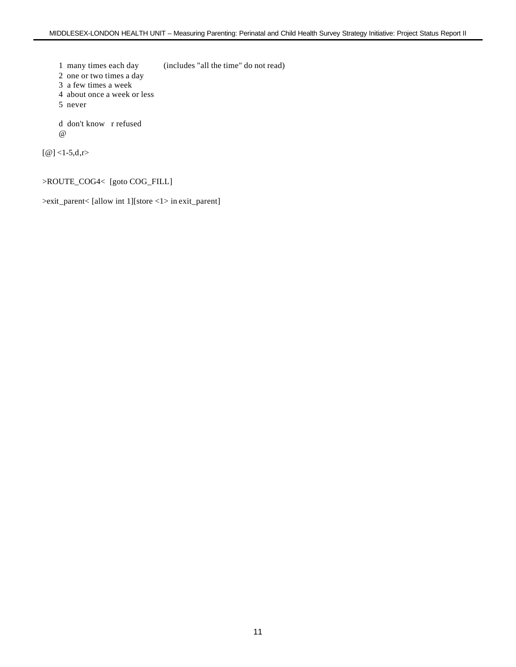1 many times each day (includes "all the time" do not read)

2 one or two times a day

- 3 a few times a week
- 4 about once a week or less
- 5 never

 d don't know r refused @

 $[@] < 1-5, d,r$ 

#### >ROUTE\_COG4< [goto COG\_FILL]

>exit\_parent< [allow int 1][store <1> in exit\_parent]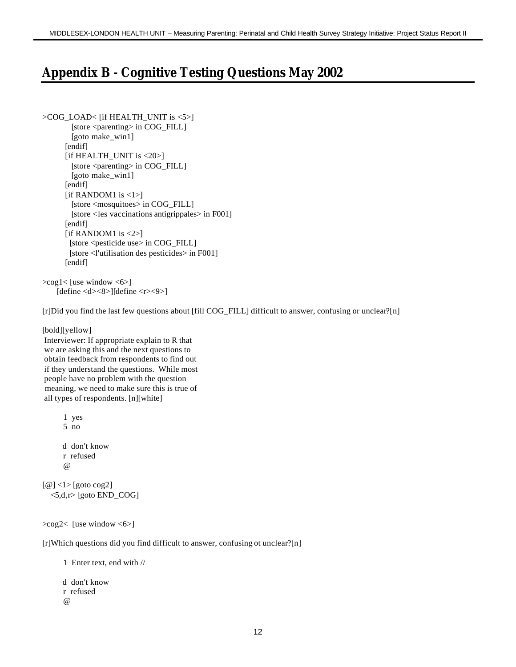#### **Appendix B - Cognitive Testing Questions May 2002**

```
>COG_LOAD< [if HEALTH_UNIT is <5>]
        [store <parenting> in COG_FILL]
         [goto make_win1]
      [endif]
       [if HEALTH_UNIT is <20>]
        [store <parenting> in COG_FILL]
         [goto make_win1]
      [endif]
      [if RANDOM1 is <1>]
         [store <mosquitoes> in COG_FILL]
         [store <les vaccinations antigrippales> in F001]
      [endif]
      [if RANDOM1 is \langle 2 \rangle]
         [store <pesticide use> in COG_FILL]
         [store <l'utilisation des pesticides> in F001]
       [endif]
```
>cog1< [use window <6>] [define <d><8>][define <r><9>]

[r]Did you find the last few questions about [fill COG\_FILL] difficult to answer, confusing or unclear?[n]

[bold][yellow]

 Interviewer: If appropriate explain to R that we are asking this and the next questions to obtain feedback from respondents to find out if they understand the questions. While most people have no problem with the question meaning, we need to make sure this is true of all types of respondents. [n][white]

```
 1 yes
        5 no
        d don't know
        r refused
       \omega[@] <1> [goto cog2]
   \langle 5,d,r \rangle [goto END_COG]
```
>cog2< [use window <6>]

[r]Which questions did you find difficult to answer, confusing ot unclear?[n]

1 Enter text, end with //

```
 d don't know
 r refused
 @
```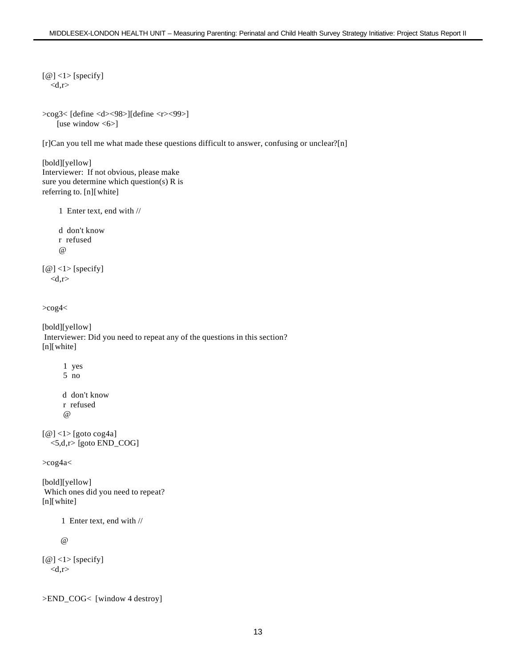```
[@] <1 > [specify]
  <d,r>
```

```
>cog3< [define <d><98>][define <r><99>]
    [use window <6>]
```
[r]Can you tell me what made these questions difficult to answer, confusing or unclear?[n]

```
[bold][yellow]
Interviewer: If not obvious, please make
sure you determine which question(s) R is
referring to. [n][white]
```

```
 1 Enter text, end with //
```

```
 d don't know
 r refused
 @
```
 $[@] <1$  > [specify]  $$ 

>cog4<

[bold][yellow] Interviewer: Did you need to repeat any of the questions in this section? [n][white]

 1 yes 5 no d don't know r refused @

```
[@] <1 > [goto cog4a]
   <5,d,r> [goto END_COG]
```
>cog4a<

[bold][yellow] Which ones did you need to repeat? [n][white]

1 Enter text, end with //

@

 $[@] <1$  [specify]  $$ 

>END\_COG< [window 4 destroy]